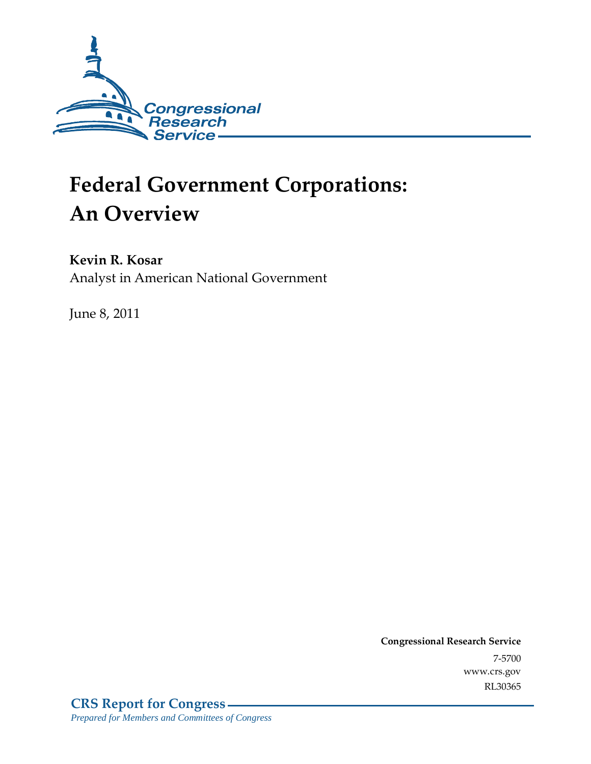

# **Federal Government Corporations: An Overview**

#### **Kevin R. Kosar**

Analyst in American National Government

June 8, 2011

**Congressional Research Service** 7-5700 www.crs.gov RL30365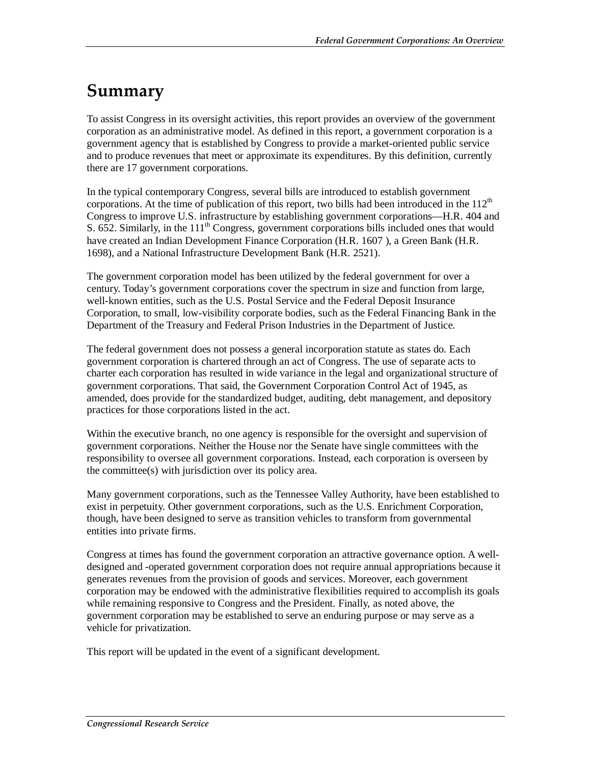## **Summary**

To assist Congress in its oversight activities, this report provides an overview of the government corporation as an administrative model. As defined in this report, a government corporation is a government agency that is established by Congress to provide a market-oriented public service and to produce revenues that meet or approximate its expenditures. By this definition, currently there are 17 government corporations.

In the typical contemporary Congress, several bills are introduced to establish government corporations. At the time of publication of this report, two bills had been introduced in the  $112<sup>th</sup>$ Congress to improve U.S. infrastructure by establishing government corporations—H.R. 404 and S. 652. Similarly, in the  $111<sup>th</sup>$  Congress, government corporations bills included ones that would have created an Indian Development Finance Corporation (H.R. 1607 ), a Green Bank (H.R. 1698), and a National Infrastructure Development Bank (H.R. 2521).

The government corporation model has been utilized by the federal government for over a century. Today's government corporations cover the spectrum in size and function from large, well-known entities, such as the U.S. Postal Service and the Federal Deposit Insurance Corporation, to small, low-visibility corporate bodies, such as the Federal Financing Bank in the Department of the Treasury and Federal Prison Industries in the Department of Justice.

The federal government does not possess a general incorporation statute as states do. Each government corporation is chartered through an act of Congress. The use of separate acts to charter each corporation has resulted in wide variance in the legal and organizational structure of government corporations. That said, the Government Corporation Control Act of 1945, as amended, does provide for the standardized budget, auditing, debt management, and depository practices for those corporations listed in the act.

Within the executive branch, no one agency is responsible for the oversight and supervision of government corporations. Neither the House nor the Senate have single committees with the responsibility to oversee all government corporations. Instead, each corporation is overseen by the committee(s) with jurisdiction over its policy area.

Many government corporations, such as the Tennessee Valley Authority, have been established to exist in perpetuity. Other government corporations, such as the U.S. Enrichment Corporation, though, have been designed to serve as transition vehicles to transform from governmental entities into private firms.

Congress at times has found the government corporation an attractive governance option. A welldesigned and -operated government corporation does not require annual appropriations because it generates revenues from the provision of goods and services. Moreover, each government corporation may be endowed with the administrative flexibilities required to accomplish its goals while remaining responsive to Congress and the President. Finally, as noted above, the government corporation may be established to serve an enduring purpose or may serve as a vehicle for privatization.

This report will be updated in the event of a significant development.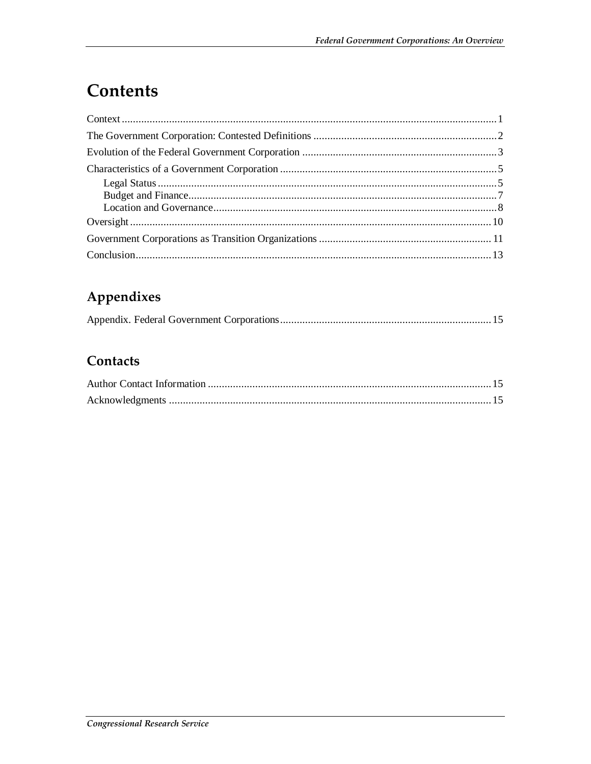## **Contents**

### Appendixes

#### Contacts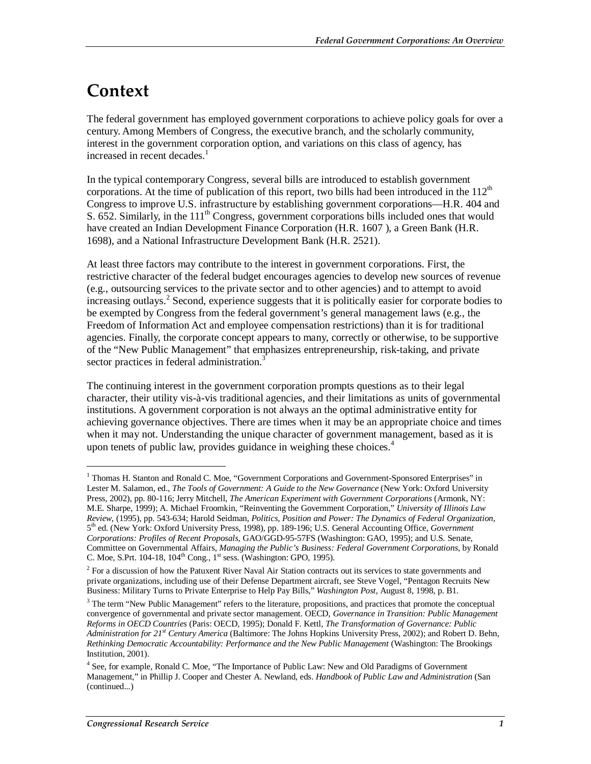### **Context**

1

The federal government has employed government corporations to achieve policy goals for over a century. Among Members of Congress, the executive branch, and the scholarly community, interest in the government corporation option, and variations on this class of agency, has increased in recent decades.<sup>1</sup>

In the typical contemporary Congress, several bills are introduced to establish government corporations. At the time of publication of this report, two bills had been introduced in the  $112<sup>th</sup>$ Congress to improve U.S. infrastructure by establishing government corporations—H.R. 404 and S. 652. Similarly, in the  $111<sup>th</sup>$  Congress, government corporations bills included ones that would have created an Indian Development Finance Corporation (H.R. 1607 ), a Green Bank (H.R. 1698), and a National Infrastructure Development Bank (H.R. 2521).

At least three factors may contribute to the interest in government corporations. First, the restrictive character of the federal budget encourages agencies to develop new sources of revenue (e.g., outsourcing services to the private sector and to other agencies) and to attempt to avoid increasing outlays.<sup>2</sup> Second, experience suggests that it is politically easier for corporate bodies to be exempted by Congress from the federal government's general management laws (e.g., the Freedom of Information Act and employee compensation restrictions) than it is for traditional agencies. Finally, the corporate concept appears to many, correctly or otherwise, to be supportive of the "New Public Management" that emphasizes entrepreneurship, risk-taking, and private sector practices in federal administration.<sup>3</sup>

The continuing interest in the government corporation prompts questions as to their legal character, their utility vis-à-vis traditional agencies, and their limitations as units of governmental institutions. A government corporation is not always an the optimal administrative entity for achieving governance objectives. There are times when it may be an appropriate choice and times when it may not. Understanding the unique character of government management, based as it is upon tenets of public law, provides guidance in weighing these choices. $4$ 

<sup>&</sup>lt;sup>1</sup> Thomas H. Stanton and Ronald C. Moe, "Government Corporations and Government-Sponsored Enterprises" in Lester M. Salamon, ed., *The Tools of Government: A Guide to the New Governance* (New York: Oxford University Press, 2002), pp. 80-116; Jerry Mitchell, *The American Experiment with Government Corporations* (Armonk, NY: M.E. Sharpe, 1999); A. Michael Froomkin, "Reinventing the Government Corporation," *University of Illinois Law Review*, (1995), pp. 543-634; Harold Seidman, *Politics, Position and Power: The Dynamics of Federal Organization*, 5th ed. (New York: Oxford University Press, 1998), pp. 189-196; U.S. General Accounting Office, *Government Corporations: Profiles of Recent Proposals*, GAO/GGD-95-57FS (Washington: GAO, 1995); and U.S. Senate, Committee on Governmental Affairs, *Managing the Public's Business: Federal Government Corporations*, by Ronald C. Moe, S.Prt. 104-18,  $104<sup>th</sup>$  Cong.,  $1<sup>st</sup>$  sess. (Washington: GPO, 1995).

 $2^{2}$  For a discussion of how the Patuxent River Naval Air Station contracts out its services to state governments and private organizations, including use of their Defense Department aircraft, see Steve Vogel, "Pentagon Recruits New Business: Military Turns to Private Enterprise to Help Pay Bills," *Washington Post*, August 8, 1998, p. B1.

<sup>&</sup>lt;sup>3</sup> The term "New Public Management" refers to the literature, propositions, and practices that promote the conceptual convergence of governmental and private sector management. OECD, *Governance in Transition: Public Management Reforms in OECD Countries* (Paris: OECD, 1995); Donald F. Kettl, *The Transformation of Governance: Public Administration for 21st Century America* (Baltimore: The Johns Hopkins University Press, 2002); and Robert D. Behn, *Rethinking Democratic Accountability: Performance and the New Public Management* (Washington: The Brookings Institution, 2001).

<sup>&</sup>lt;sup>4</sup> See, for example, Ronald C. Moe, "The Importance of Public Law: New and Old Paradigms of Government Management," in Phillip J. Cooper and Chester A. Newland, eds. *Handbook of Public Law and Administration* (San (continued...)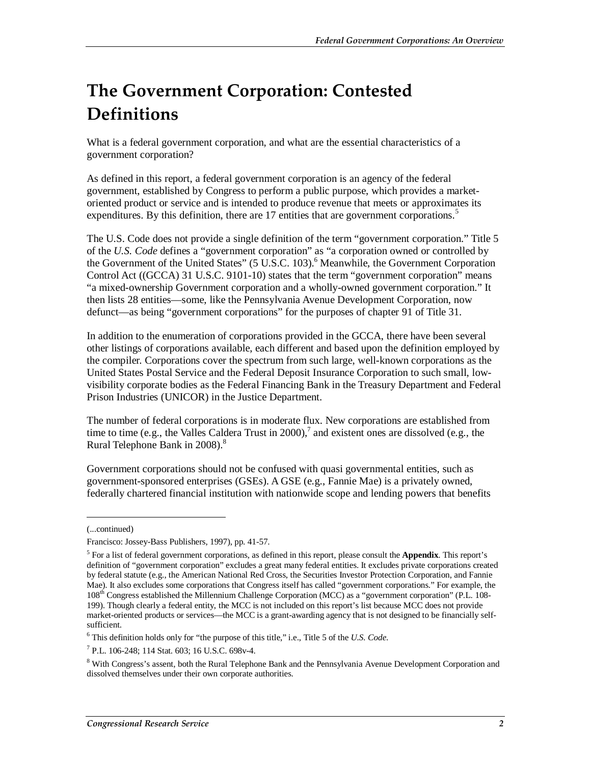## **The Government Corporation: Contested Definitions**

What is a federal government corporation, and what are the essential characteristics of a government corporation?

As defined in this report, a federal government corporation is an agency of the federal government, established by Congress to perform a public purpose, which provides a marketoriented product or service and is intended to produce revenue that meets or approximates its expenditures. By this definition, there are 17 entities that are government corporations.<sup>5</sup>

The U.S. Code does not provide a single definition of the term "government corporation." Title 5 of the *U.S. Code* defines a "government corporation" as "a corporation owned or controlled by the Government of the United States" (5 U.S.C. 103).<sup>6</sup> Meanwhile, the Government Corporation Control Act ((GCCA) 31 U.S.C. 9101-10) states that the term "government corporation" means "a mixed-ownership Government corporation and a wholly-owned government corporation." It then lists 28 entities—some, like the Pennsylvania Avenue Development Corporation, now defunct—as being "government corporations" for the purposes of chapter 91 of Title 31.

In addition to the enumeration of corporations provided in the GCCA, there have been several other listings of corporations available, each different and based upon the definition employed by the compiler. Corporations cover the spectrum from such large, well-known corporations as the United States Postal Service and the Federal Deposit Insurance Corporation to such small, lowvisibility corporate bodies as the Federal Financing Bank in the Treasury Department and Federal Prison Industries (UNICOR) in the Justice Department.

The number of federal corporations is in moderate flux. New corporations are established from time to time (e.g., the Valles Caldera Trust in 2000),<sup>7</sup> and existent ones are dissolved (e.g., the Rural Telephone Bank in 2008).<sup>8</sup>

Government corporations should not be confused with quasi governmental entities, such as government-sponsored enterprises (GSEs). A GSE (e.g., Fannie Mae) is a privately owned, federally chartered financial institution with nationwide scope and lending powers that benefits

<u>.</u>

<sup>(...</sup>continued)

Francisco: Jossey-Bass Publishers, 1997), pp. 41-57.

<sup>5</sup> For a list of federal government corporations, as defined in this report, please consult the **Appendix**. This report's definition of "government corporation" excludes a great many federal entities. It excludes private corporations created by federal statute (e.g., the American National Red Cross, the Securities Investor Protection Corporation, and Fannie Mae). It also excludes some corporations that Congress itself has called "government corporations." For example, the 108th Congress established the Millennium Challenge Corporation (MCC) as a "government corporation" (P.L. 108- 199). Though clearly a federal entity, the MCC is not included on this report's list because MCC does not provide market-oriented products or services—the MCC is a grant-awarding agency that is not designed to be financially selfsufficient.

<sup>6</sup> This definition holds only for "the purpose of this title," i.e., Title 5 of the *U.S. Code*.

<sup>7</sup> P.L. 106-248; 114 Stat. 603; 16 U.S.C. 698v-4.

<sup>&</sup>lt;sup>8</sup> With Congress's assent, both the Rural Telephone Bank and the Pennsylvania Avenue Development Corporation and dissolved themselves under their own corporate authorities.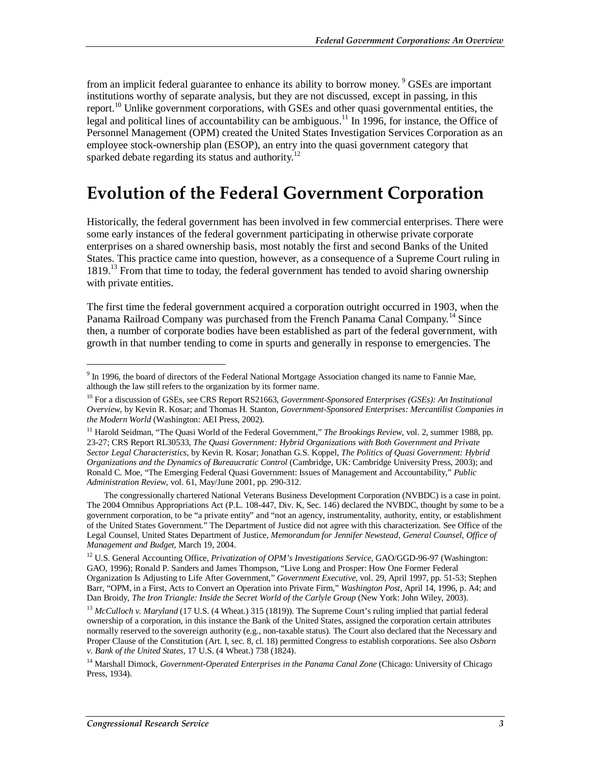from an implicit federal guarantee to enhance its ability to borrow money. <sup>9</sup> GSEs are important institutions worthy of separate analysis, but they are not discussed, except in passing, in this report.<sup>10</sup> Unlike government corporations, with GSEs and other quasi governmental entities, the legal and political lines of accountability can be ambiguous.<sup>11</sup> In 1996, for instance, the Office of Personnel Management (OPM) created the United States Investigation Services Corporation as an employee stock-ownership plan (ESOP), an entry into the quasi government category that sparked debate regarding its status and authority.<sup>12</sup>

### **Evolution of the Federal Government Corporation**

Historically, the federal government has been involved in few commercial enterprises. There were some early instances of the federal government participating in otherwise private corporate enterprises on a shared ownership basis, most notably the first and second Banks of the United States. This practice came into question, however, as a consequence of a Supreme Court ruling in 1819.<sup>13</sup> From that time to today, the federal government has tended to avoid sharing ownership with private entities.

The first time the federal government acquired a corporation outright occurred in 1903, when the Panama Railroad Company was purchased from the French Panama Canal Company.<sup>14</sup> Since then, a number of corporate bodies have been established as part of the federal government, with growth in that number tending to come in spurts and generally in response to emergencies. The

The congressionally chartered National Veterans Business Development Corporation (NVBDC) is a case in point. The 2004 Omnibus Appropriations Act (P.L. 108-447, Div. K, Sec. 146) declared the NVBDC, thought by some to be a government corporation, to be "a private entity" and "not an agency, instrumentality, authority, entity, or establishment of the United States Government." The Department of Justice did not agree with this characterization. See Office of the Legal Counsel, United States Department of Justice, *Memorandum for Jennifer Newstead, General Counsel, Office of Management and Budget*, March 19, 2004.

<sup>12</sup> U.S. General Accounting Office, *Privatization of OPM's Investigations Service*, GAO/GGD-96-97 (Washington: GAO, 1996); Ronald P. Sanders and James Thompson, "Live Long and Prosper: How One Former Federal Organization Is Adjusting to Life After Government," *Government Executive*, vol. 29, April 1997, pp. 51-53; Stephen Barr, "OPM, in a First, Acts to Convert an Operation into Private Firm," *Washington Post*, April 14, 1996, p. A4; and Dan Broidy, *The Iron Triangle: Inside the Secret World of the Carlyle Group* (New York: John Wiley, 2003).

<sup>13</sup> *McCulloch v. Maryland* (17 U.S. (4 Wheat.) 315 (1819)). The Supreme Court's ruling implied that partial federal ownership of a corporation, in this instance the Bank of the United States, assigned the corporation certain attributes normally reserved to the sovereign authority (e.g., non-taxable status). The Court also declared that the Necessary and Proper Clause of the Constitution (Art. I, sec. 8, cl. 18) permitted Congress to establish corporations. See also *Osborn v. Bank of the United States*, 17 U.S. (4 Wheat.) 738 (1824).

14 Marshall Dimock, *Government-Operated Enterprises in the Panama Canal Zone* (Chicago: University of Chicago Press, 1934).

<sup>&</sup>lt;sup>9</sup> In 1996, the board of directors of the Federal National Mortgage Association changed its name to Fannie Mae, although the law still refers to the organization by its former name.

<sup>10</sup> For a discussion of GSEs, see CRS Report RS21663, *Government-Sponsored Enterprises (GSEs): An Institutional Overview*, by Kevin R. Kosar; and Thomas H. Stanton, *Government-Sponsored Enterprises: Mercantilist Companies in the Modern World* (Washington: AEI Press, 2002).

<sup>&</sup>lt;sup>11</sup> Harold Seidman, "The Quasi World of the Federal Government," *The Brookings Review*, vol. 2, summer 1988, pp. 23-27; CRS Report RL30533, *The Quasi Government: Hybrid Organizations with Both Government and Private Sector Legal Characteristics*, by Kevin R. Kosar; Jonathan G.S. Koppel, *The Politics of Quasi Government: Hybrid Organizations and the Dynamics of Bureaucratic Control* (Cambridge, UK: Cambridge University Press, 2003); and Ronald C. Moe, "The Emerging Federal Quasi Government: Issues of Management and Accountability," *Public Administration Review*, vol. 61, May/June 2001, pp. 290-312.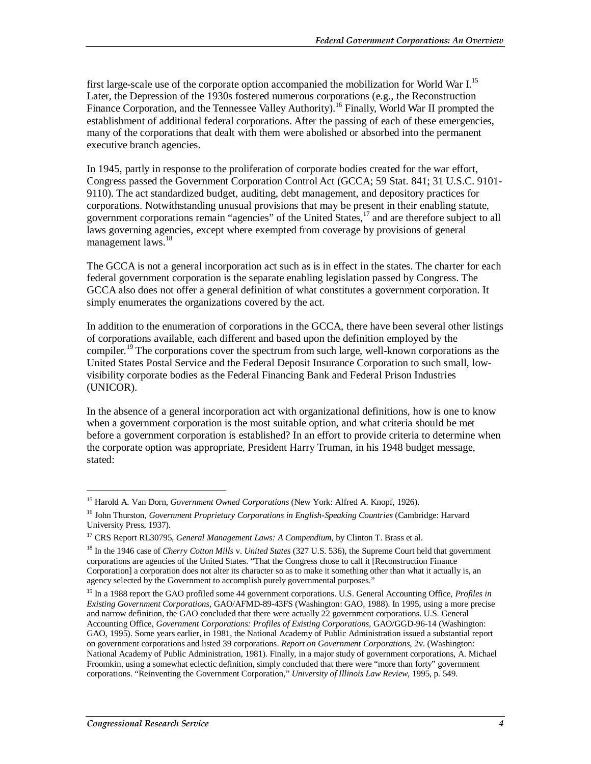first large-scale use of the corporate option accompanied the mobilization for World War  $I<sup>15</sup>$ Later, the Depression of the 1930s fostered numerous corporations (e.g., the Reconstruction Finance Corporation, and the Tennessee Valley Authority.<sup>16</sup> Finally, World War II prompted the establishment of additional federal corporations. After the passing of each of these emergencies, many of the corporations that dealt with them were abolished or absorbed into the permanent executive branch agencies.

In 1945, partly in response to the proliferation of corporate bodies created for the war effort, Congress passed the Government Corporation Control Act (GCCA; 59 Stat. 841; 31 U.S.C. 9101- 9110). The act standardized budget, auditing, debt management, and depository practices for corporations. Notwithstanding unusual provisions that may be present in their enabling statute, government corporations remain "agencies" of the United States, $^{17}$  and are therefore subject to all laws governing agencies, except where exempted from coverage by provisions of general management laws.<sup>18</sup>

The GCCA is not a general incorporation act such as is in effect in the states. The charter for each federal government corporation is the separate enabling legislation passed by Congress. The GCCA also does not offer a general definition of what constitutes a government corporation. It simply enumerates the organizations covered by the act.

In addition to the enumeration of corporations in the GCCA, there have been several other listings of corporations available, each different and based upon the definition employed by the compiler.<sup>19</sup> The corporations cover the spectrum from such large, well-known corporations as the United States Postal Service and the Federal Deposit Insurance Corporation to such small, lowvisibility corporate bodies as the Federal Financing Bank and Federal Prison Industries (UNICOR).

In the absence of a general incorporation act with organizational definitions, how is one to know when a government corporation is the most suitable option, and what criteria should be met before a government corporation is established? In an effort to provide criteria to determine when the corporate option was appropriate, President Harry Truman, in his 1948 budget message, stated:

<sup>15</sup> Harold A. Van Dorn, *Government Owned Corporations* (New York: Alfred A. Knopf, 1926).

<sup>&</sup>lt;sup>16</sup> John Thurston, *Government Proprietary Corporations in English-Speaking Countries* (Cambridge: Harvard University Press, 1937).

<sup>&</sup>lt;sup>17</sup> CRS Report RL30795, *General Management Laws: A Compendium*, by Clinton T. Brass et al.

<sup>18</sup> In the 1946 case of *Cherry Cotton Mills* v. *United States* (327 U.S. 536), the Supreme Court held that government corporations are agencies of the United States. "That the Congress chose to call it [Reconstruction Finance Corporation] a corporation does not alter its character so as to make it something other than what it actually is, an agency selected by the Government to accomplish purely governmental purposes."

<sup>19</sup> In a 1988 report the GAO profiled some 44 government corporations. U.S. General Accounting Office, *Profiles in Existing Government Corporations,* GAO/AFMD-89-43FS (Washington: GAO, 1988). In 1995, using a more precise and narrow definition, the GAO concluded that there were actually 22 government corporations. U.S. General Accounting Office, *Government Corporations: Profiles of Existing Corporations,* GAO/GGD-96-14 (Washington: GAO, 1995). Some years earlier, in 1981, the National Academy of Public Administration issued a substantial report on government corporations and listed 39 corporations. *Report on Government Corporations*, 2v. (Washington: National Academy of Public Administration, 1981). Finally, in a major study of government corporations, A. Michael Froomkin, using a somewhat eclectic definition, simply concluded that there were "more than forty" government corporations. "Reinventing the Government Corporation," *University of Illinois Law Review*, 1995, p. 549.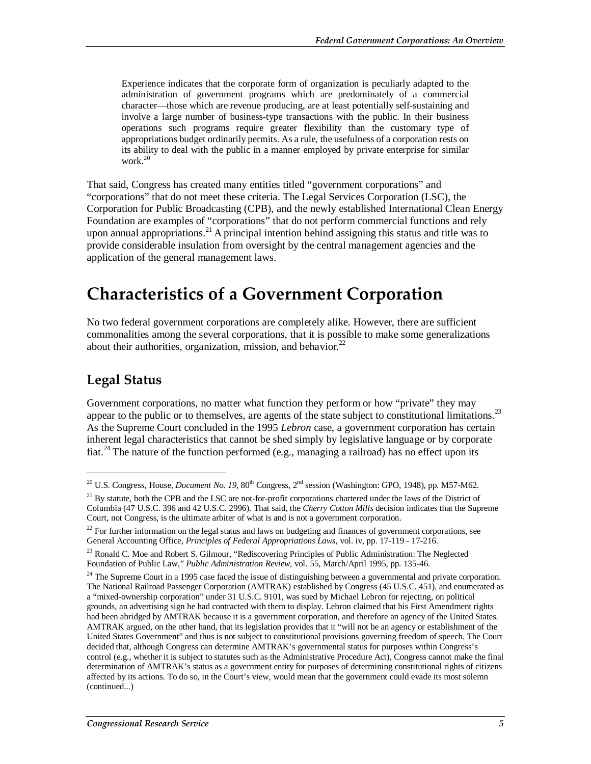Experience indicates that the corporate form of organization is peculiarly adapted to the administration of government programs which are predominately of a commercial character—those which are revenue producing, are at least potentially self-sustaining and involve a large number of business-type transactions with the public. In their business operations such programs require greater flexibility than the customary type of appropriations budget ordinarily permits. As a rule, the usefulness of a corporation rests on its ability to deal with the public in a manner employed by private enterprise for similar work.<sup>20</sup>

That said, Congress has created many entities titled "government corporations" and "corporations" that do not meet these criteria. The Legal Services Corporation (LSC), the Corporation for Public Broadcasting (CPB), and the newly established International Clean Energy Foundation are examples of "corporations" that do not perform commercial functions and rely upon annual appropriations.<sup>21</sup> A principal intention behind assigning this status and title was to provide considerable insulation from oversight by the central management agencies and the application of the general management laws.

### **Characteristics of a Government Corporation**

No two federal government corporations are completely alike. However, there are sufficient commonalities among the several corporations, that it is possible to make some generalizations about their authorities, organization, mission, and behavior.<sup>22</sup>

#### **Legal Status**

**.** 

Government corporations, no matter what function they perform or how "private" they may appear to the public or to themselves, are agents of the state subject to constitutional limitations.<sup>23</sup> As the Supreme Court concluded in the 1995 *Lebron* case, a government corporation has certain inherent legal characteristics that cannot be shed simply by legislative language or by corporate fiat.<sup>24</sup> The nature of the function performed (e.g., managing a railroad) has no effect upon its

<sup>&</sup>lt;sup>20</sup> U.S. Congress, House, *Document No. 19*, 80<sup>th</sup> Congress, 2<sup>nd</sup> session (Washington: GPO, 1948), pp. M57-M62.

<sup>&</sup>lt;sup>21</sup> By statute, both the CPB and the LSC are not-for-profit corporations chartered under the laws of the District of Columbia (47 U.S.C. 396 and 42 U.S.C. 2996). That said, the *Cherry Cotton Mills* decision indicates that the Supreme Court, not Congress, is the ultimate arbiter of what is and is not a government corporation.

 $22$  For further information on the legal status and laws on budgeting and finances of government corporations, see General Accounting Office, *Principles of Federal Appropriations Laws*, vol. iv, pp. 17-119 - 17-216.

<sup>&</sup>lt;sup>23</sup> Ronald C. Moe and Robert S. Gilmour, "Rediscovering Principles of Public Administration: The Neglected Foundation of Public Law," *Public Administration Review*, vol. 55, March/April 1995, pp. 135-46.

 $24$  The Supreme Court in a 1995 case faced the issue of distinguishing between a governmental and private corporation. The National Railroad Passenger Corporation (AMTRAK) established by Congress (45 U.S.C. 451), and enumerated as a "mixed-ownership corporation" under 31 U.S.C. 9101, was sued by Michael Lebron for rejecting, on political grounds, an advertising sign he had contracted with them to display. Lebron claimed that his First Amendment rights had been abridged by AMTRAK because it is a government corporation, and therefore an agency of the United States. AMTRAK argued, on the other hand, that its legislation provides that it "will not be an agency or establishment of the United States Government" and thus is not subject to constitutional provisions governing freedom of speech. The Court decided that, although Congress can determine AMTRAK's governmental status for purposes within Congress's control (e.g., whether it is subject to statutes such as the Administrative Procedure Act), Congress cannot make the final determination of AMTRAK's status as a government entity for purposes of determining constitutional rights of citizens affected by its actions. To do so, in the Court's view, would mean that the government could evade its most solemn (continued...)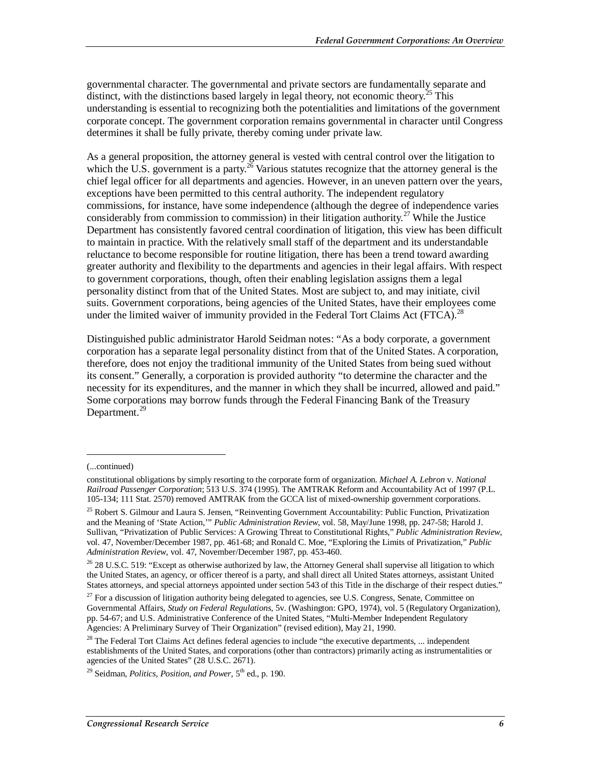governmental character. The governmental and private sectors are fundamentally separate and distinct, with the distinctions based largely in legal theory, not economic theory.<sup>25</sup> This understanding is essential to recognizing both the potentialities and limitations of the government corporate concept. The government corporation remains governmental in character until Congress determines it shall be fully private, thereby coming under private law.

As a general proposition, the attorney general is vested with central control over the litigation to which the U.S. government is a party.<sup>26</sup> Various statutes recognize that the attorney general is the chief legal officer for all departments and agencies. However, in an uneven pattern over the years, exceptions have been permitted to this central authority. The independent regulatory commissions, for instance, have some independence (although the degree of independence varies considerably from commission to commission) in their litigation authority.<sup>27</sup> While the Justice Department has consistently favored central coordination of litigation, this view has been difficult to maintain in practice. With the relatively small staff of the department and its understandable reluctance to become responsible for routine litigation, there has been a trend toward awarding greater authority and flexibility to the departments and agencies in their legal affairs. With respect to government corporations, though, often their enabling legislation assigns them a legal personality distinct from that of the United States. Most are subject to, and may initiate, civil suits. Government corporations, being agencies of the United States, have their employees come under the limited waiver of immunity provided in the Federal Tort Claims Act (FTCA).<sup>28</sup>

Distinguished public administrator Harold Seidman notes: "As a body corporate, a government corporation has a separate legal personality distinct from that of the United States. A corporation, therefore, does not enjoy the traditional immunity of the United States from being sued without its consent." Generally, a corporation is provided authority "to determine the character and the necessity for its expenditures, and the manner in which they shall be incurred, allowed and paid." Some corporations may borrow funds through the Federal Financing Bank of the Treasury Department.<sup>29</sup>

<sup>(...</sup>continued)

constitutional obligations by simply resorting to the corporate form of organization. *Michael A. Lebron* v. *National Railroad Passenger Corporation*; 513 U.S. 374 (1995). The AMTRAK Reform and Accountability Act of 1997 (P.L. 105-134; 111 Stat. 2570) removed AMTRAK from the GCCA list of mixed-ownership government corporations.

<sup>&</sup>lt;sup>25</sup> Robert S. Gilmour and Laura S. Jensen, "Reinventing Government Accountability: Public Function, Privatization and the Meaning of 'State Action,'" *Public Administration Review*, vol. 58, May/June 1998, pp. 247-58; Harold J. Sullivan, "Privatization of Public Services: A Growing Threat to Constitutional Rights," *Public Administration Review,* vol. 47, November/December 1987, pp. 461-68; and Ronald C. Moe, "Exploring the Limits of Privatization," *Public Administration Review*, vol. 47, November/December 1987, pp. 453-460.

 $26$  28 U.S.C. 519: "Except as otherwise authorized by law, the Attorney General shall supervise all litigation to which the United States, an agency, or officer thereof is a party, and shall direct all United States attorneys, assistant United States attorneys, and special attorneys appointed under section 543 of this Title in the discharge of their respect duties."

<sup>&</sup>lt;sup>27</sup> For a discussion of litigation authority being delegated to agencies, see U.S. Congress, Senate, Committee on Governmental Affairs, *Study on Federal Regulations*, 5v. (Washington: GPO, 1974), vol. 5 (Regulatory Organization), pp. 54-67; and U.S. Administrative Conference of the United States, "Multi-Member Independent Regulatory Agencies: A Preliminary Survey of Their Organization" (revised edition), May 21, 1990.

 $28$  The Federal Tort Claims Act defines federal agencies to include "the executive departments, ... independent establishments of the United States, and corporations (other than contractors) primarily acting as instrumentalities or agencies of the United States" (28 U.S.C. 2671).

<sup>&</sup>lt;sup>29</sup> Seidman, *Politics, Position, and Power*, 5<sup>th</sup> ed., p. 190.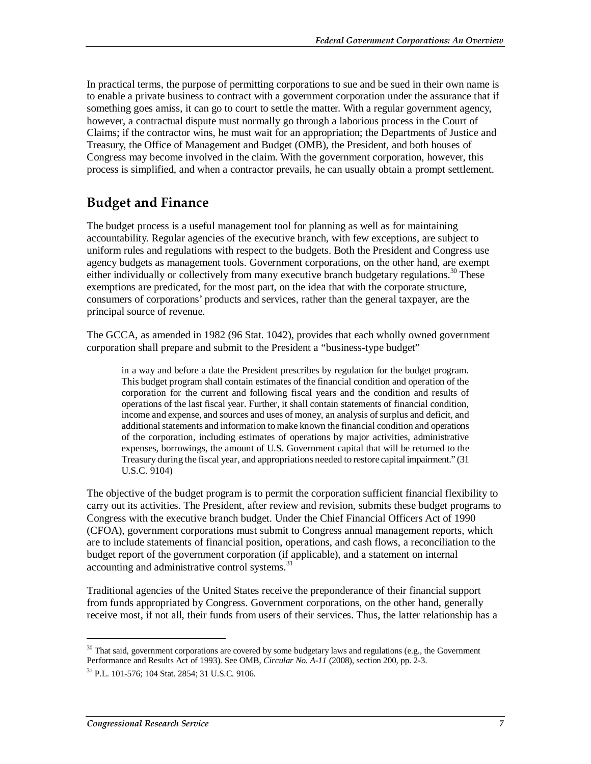In practical terms, the purpose of permitting corporations to sue and be sued in their own name is to enable a private business to contract with a government corporation under the assurance that if something goes amiss, it can go to court to settle the matter. With a regular government agency, however, a contractual dispute must normally go through a laborious process in the Court of Claims; if the contractor wins, he must wait for an appropriation; the Departments of Justice and Treasury, the Office of Management and Budget (OMB), the President, and both houses of Congress may become involved in the claim. With the government corporation, however, this process is simplified, and when a contractor prevails, he can usually obtain a prompt settlement.

#### **Budget and Finance**

The budget process is a useful management tool for planning as well as for maintaining accountability. Regular agencies of the executive branch, with few exceptions, are subject to uniform rules and regulations with respect to the budgets. Both the President and Congress use agency budgets as management tools. Government corporations, on the other hand, are exempt either individually or collectively from many executive branch budgetary regulations.<sup>30</sup> These exemptions are predicated, for the most part, on the idea that with the corporate structure, consumers of corporations' products and services, rather than the general taxpayer, are the principal source of revenue.

The GCCA, as amended in 1982 (96 Stat. 1042), provides that each wholly owned government corporation shall prepare and submit to the President a "business-type budget"

in a way and before a date the President prescribes by regulation for the budget program. This budget program shall contain estimates of the financial condition and operation of the corporation for the current and following fiscal years and the condition and results of operations of the last fiscal year. Further, it shall contain statements of financial condition, income and expense, and sources and uses of money, an analysis of surplus and deficit, and additional statements and information to make known the financial condition and operations of the corporation, including estimates of operations by major activities, administrative expenses, borrowings, the amount of U.S. Government capital that will be returned to the Treasury during the fiscal year, and appropriations needed to restore capital impairment." (31 U.S.C. 9104)

The objective of the budget program is to permit the corporation sufficient financial flexibility to carry out its activities. The President, after review and revision, submits these budget programs to Congress with the executive branch budget. Under the Chief Financial Officers Act of 1990 (CFOA), government corporations must submit to Congress annual management reports, which are to include statements of financial position, operations, and cash flows, a reconciliation to the budget report of the government corporation (if applicable), and a statement on internal accounting and administrative control systems.<sup>31</sup>

Traditional agencies of the United States receive the preponderance of their financial support from funds appropriated by Congress. Government corporations, on the other hand, generally receive most, if not all, their funds from users of their services. Thus, the latter relationship has a

<sup>&</sup>lt;sup>30</sup> That said, government corporations are covered by some budgetary laws and regulations (e.g., the Government Performance and Results Act of 1993). See OMB, *Circular No. A-11* (2008), section 200, pp. 2-3.

 $31$  P.L. 101-576; 104 Stat. 2854; 31 U.S.C. 9106.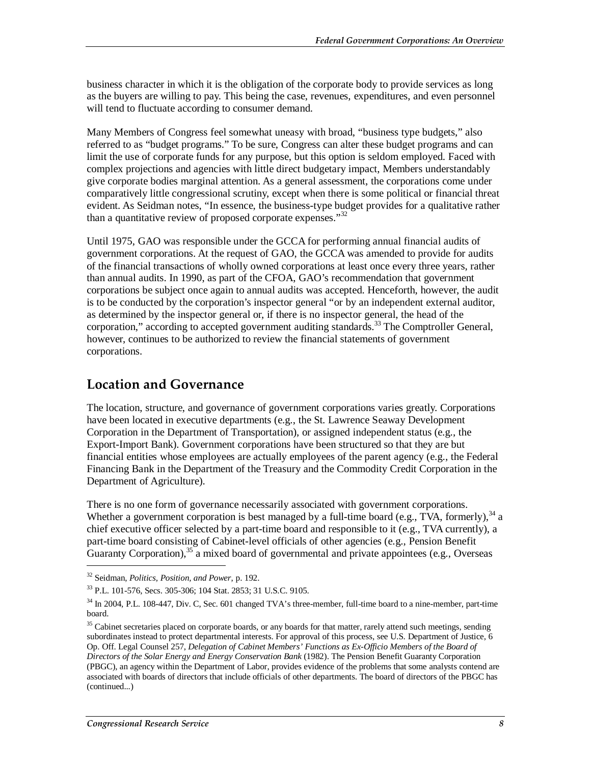business character in which it is the obligation of the corporate body to provide services as long as the buyers are willing to pay. This being the case, revenues, expenditures, and even personnel will tend to fluctuate according to consumer demand.

Many Members of Congress feel somewhat uneasy with broad, "business type budgets," also referred to as "budget programs." To be sure, Congress can alter these budget programs and can limit the use of corporate funds for any purpose, but this option is seldom employed. Faced with complex projections and agencies with little direct budgetary impact, Members understandably give corporate bodies marginal attention. As a general assessment, the corporations come under comparatively little congressional scrutiny, except when there is some political or financial threat evident. As Seidman notes, "In essence, the business-type budget provides for a qualitative rather than a quantitative review of proposed corporate expenses." $32$ 

Until 1975, GAO was responsible under the GCCA for performing annual financial audits of government corporations. At the request of GAO, the GCCA was amended to provide for audits of the financial transactions of wholly owned corporations at least once every three years, rather than annual audits. In 1990, as part of the CFOA, GAO's recommendation that government corporations be subject once again to annual audits was accepted. Henceforth, however, the audit is to be conducted by the corporation's inspector general "or by an independent external auditor, as determined by the inspector general or, if there is no inspector general, the head of the corporation," according to accepted government auditing standards.<sup>33</sup> The Comptroller General, however, continues to be authorized to review the financial statements of government corporations.

#### **Location and Governance**

The location, structure, and governance of government corporations varies greatly. Corporations have been located in executive departments (e.g., the St. Lawrence Seaway Development Corporation in the Department of Transportation), or assigned independent status (e.g., the Export-Import Bank). Government corporations have been structured so that they are but financial entities whose employees are actually employees of the parent agency (e.g., the Federal Financing Bank in the Department of the Treasury and the Commodity Credit Corporation in the Department of Agriculture).

There is no one form of governance necessarily associated with government corporations. Whether a government corporation is best managed by a full-time board (e.g., TVA, formerly),  $34$  a chief executive officer selected by a part-time board and responsible to it (e.g., TVA currently), a part-time board consisting of Cabinet-level officials of other agencies (e.g., Pension Benefit Guaranty Corporation),  $35^{\circ}$  a mixed board of governmental and private appointees (e.g., Overseas

<sup>&</sup>lt;sup>32</sup> Seidman, *Politics, Position, and Power*, p. 192.<br><sup>33</sup> P.L. 101-576, Secs. 305-306; 104 Stat. 2853; 31 U.S.C. 9105.

 $34$  In 2004, P.L. 108-447, Div. C, Sec. 601 changed TVA's three-member, full-time board to a nine-member, part-time board.

<sup>&</sup>lt;sup>35</sup> Cabinet secretaries placed on corporate boards, or any boards for that matter, rarely attend such meetings, sending subordinates instead to protect departmental interests. For approval of this process, see U.S. Department of Justice, 6 Op. Off. Legal Counsel 257, *Delegation of Cabinet Members' Functions as Ex-Officio Members of the Board of Directors of the Solar Energy and Energy Conservation Bank* (1982). The Pension Benefit Guaranty Corporation (PBGC), an agency within the Department of Labor, provides evidence of the problems that some analysts contend are associated with boards of directors that include officials of other departments. The board of directors of the PBGC has (continued...)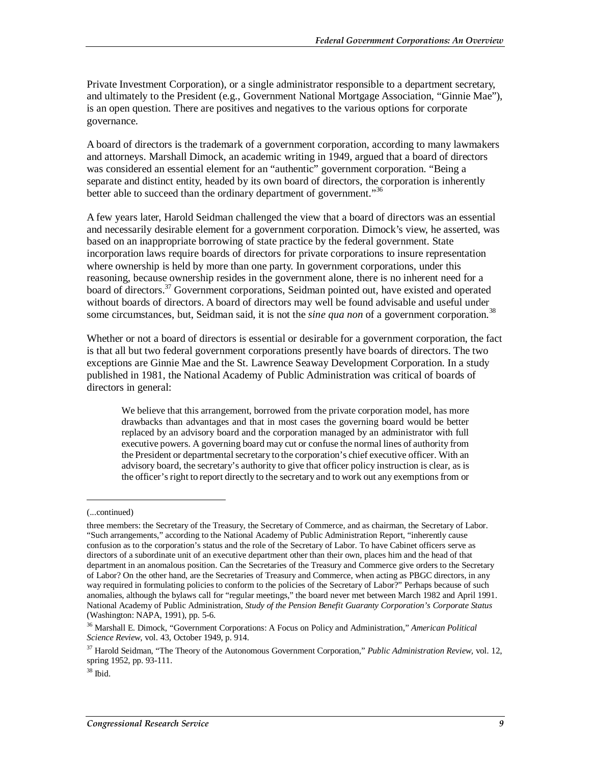Private Investment Corporation), or a single administrator responsible to a department secretary, and ultimately to the President (e.g., Government National Mortgage Association, "Ginnie Mae"), is an open question. There are positives and negatives to the various options for corporate governance.

A board of directors is the trademark of a government corporation, according to many lawmakers and attorneys. Marshall Dimock, an academic writing in 1949, argued that a board of directors was considered an essential element for an "authentic" government corporation. "Being a separate and distinct entity, headed by its own board of directors, the corporation is inherently better able to succeed than the ordinary department of government."<sup>36</sup>

A few years later, Harold Seidman challenged the view that a board of directors was an essential and necessarily desirable element for a government corporation. Dimock's view, he asserted, was based on an inappropriate borrowing of state practice by the federal government. State incorporation laws require boards of directors for private corporations to insure representation where ownership is held by more than one party. In government corporations, under this reasoning, because ownership resides in the government alone, there is no inherent need for a board of directors.<sup>37</sup> Government corporations, Seidman pointed out, have existed and operated without boards of directors. A board of directors may well be found advisable and useful under some circumstances, but, Seidman said, it is not the *sine qua non* of a government corporation.<sup>38</sup>

Whether or not a board of directors is essential or desirable for a government corporation, the fact is that all but two federal government corporations presently have boards of directors. The two exceptions are Ginnie Mae and the St. Lawrence Seaway Development Corporation. In a study published in 1981, the National Academy of Public Administration was critical of boards of directors in general:

We believe that this arrangement, borrowed from the private corporation model, has more drawbacks than advantages and that in most cases the governing board would be better replaced by an advisory board and the corporation managed by an administrator with full executive powers. A governing board may cut or confuse the normal lines of authority from the President or departmental secretary to the corporation's chief executive officer. With an advisory board, the secretary's authority to give that officer policy instruction is clear, as is the officer's right to report directly to the secretary and to work out any exemptions from or

<sup>(...</sup>continued)

three members: the Secretary of the Treasury, the Secretary of Commerce, and as chairman, the Secretary of Labor. "Such arrangements," according to the National Academy of Public Administration Report, "inherently cause confusion as to the corporation's status and the role of the Secretary of Labor. To have Cabinet officers serve as directors of a subordinate unit of an executive department other than their own, places him and the head of that department in an anomalous position. Can the Secretaries of the Treasury and Commerce give orders to the Secretary of Labor? On the other hand, are the Secretaries of Treasury and Commerce, when acting as PBGC directors, in any way required in formulating policies to conform to the policies of the Secretary of Labor?" Perhaps because of such anomalies, although the bylaws call for "regular meetings," the board never met between March 1982 and April 1991. National Academy of Public Administration, *Study of the Pension Benefit Guaranty Corporation's Corporate Status* (Washington: NAPA, 1991), pp. 5-6.

<sup>36</sup> Marshall E. Dimock, "Government Corporations: A Focus on Policy and Administration," *American Political Science Review*, vol. 43, October 1949, p. 914.

<sup>37</sup> Harold Seidman, "The Theory of the Autonomous Government Corporation," *Public Administration Review,* vol. 12, spring 1952, pp. 93-111.

 $38$  Ibid.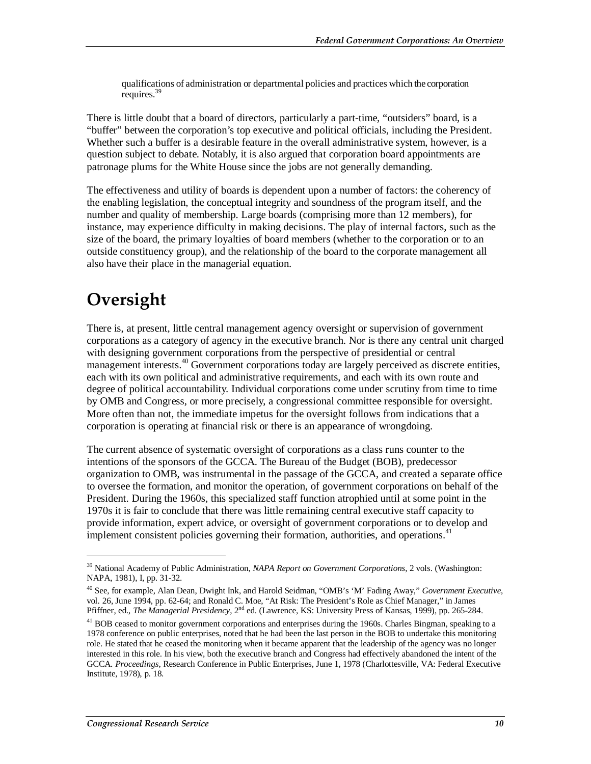qualifications of administration or departmental policies and practices which the corporation requires.<sup>39</sup>

There is little doubt that a board of directors, particularly a part-time, "outsiders" board, is a "buffer" between the corporation's top executive and political officials, including the President. Whether such a buffer is a desirable feature in the overall administrative system, however, is a question subject to debate. Notably, it is also argued that corporation board appointments are patronage plums for the White House since the jobs are not generally demanding.

The effectiveness and utility of boards is dependent upon a number of factors: the coherency of the enabling legislation, the conceptual integrity and soundness of the program itself, and the number and quality of membership. Large boards (comprising more than 12 members), for instance, may experience difficulty in making decisions. The play of internal factors, such as the size of the board, the primary loyalties of board members (whether to the corporation or to an outside constituency group), and the relationship of the board to the corporate management all also have their place in the managerial equation.

## **Oversight**

**.** 

There is, at present, little central management agency oversight or supervision of government corporations as a category of agency in the executive branch. Nor is there any central unit charged with designing government corporations from the perspective of presidential or central management interests.<sup>40</sup> Government corporations today are largely perceived as discrete entities, each with its own political and administrative requirements, and each with its own route and degree of political accountability. Individual corporations come under scrutiny from time to time by OMB and Congress, or more precisely, a congressional committee responsible for oversight. More often than not, the immediate impetus for the oversight follows from indications that a corporation is operating at financial risk or there is an appearance of wrongdoing.

The current absence of systematic oversight of corporations as a class runs counter to the intentions of the sponsors of the GCCA. The Bureau of the Budget (BOB), predecessor organization to OMB, was instrumental in the passage of the GCCA, and created a separate office to oversee the formation, and monitor the operation, of government corporations on behalf of the President. During the 1960s, this specialized staff function atrophied until at some point in the 1970s it is fair to conclude that there was little remaining central executive staff capacity to provide information, expert advice, or oversight of government corporations or to develop and implement consistent policies governing their formation, authorities, and operations.<sup>41</sup>

<sup>39</sup> National Academy of Public Administration, *NAPA Report on Government Corporations*, 2 vols. (Washington: NAPA, 1981), I, pp. 31-32.

<sup>40</sup> See, for example, Alan Dean, Dwight Ink, and Harold Seidman, "OMB's 'M' Fading Away," *Government Executive*, vol. 26, June 1994, pp. 62-64; and Ronald C. Moe, "At Risk: The President's Role as Chief Manager," in James Pfiffner, ed., *The Managerial Presidency*, 2nd ed. (Lawrence, KS: University Press of Kansas, 1999), pp. 265-284.

<sup>&</sup>lt;sup>41</sup> BOB ceased to monitor government corporations and enterprises during the 1960s. Charles Bingman, speaking to a 1978 conference on public enterprises, noted that he had been the last person in the BOB to undertake this monitoring role. He stated that he ceased the monitoring when it became apparent that the leadership of the agency was no longer interested in this role. In his view, both the executive branch and Congress had effectively abandoned the intent of the GCCA. *Proceedings*, Research Conference in Public Enterprises, June 1, 1978 (Charlottesville, VA: Federal Executive Institute, 1978), p. 18.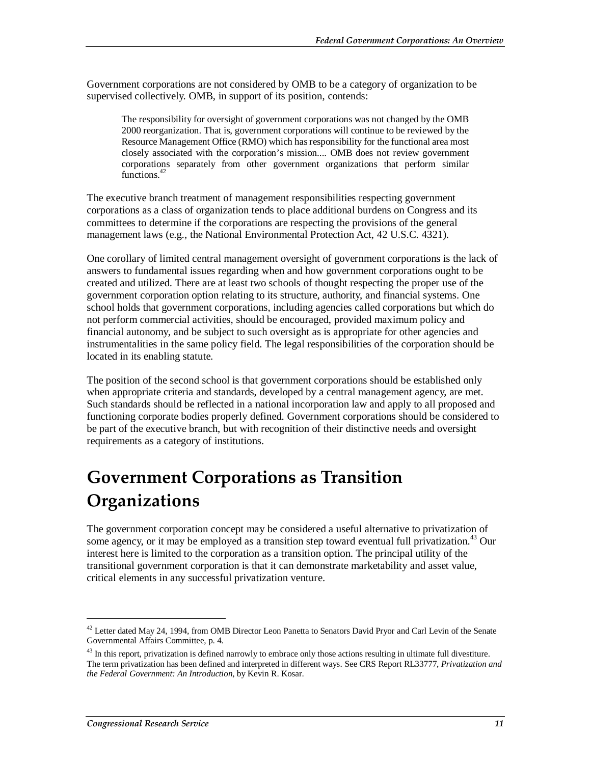Government corporations are not considered by OMB to be a category of organization to be supervised collectively. OMB, in support of its position, contends:

The responsibility for oversight of government corporations was not changed by the OMB 2000 reorganization. That is, government corporations will continue to be reviewed by the Resource Management Office (RMO) which has responsibility for the functional area most closely associated with the corporation's mission.... OMB does not review government corporations separately from other government organizations that perform similar functions.<sup>42</sup>

The executive branch treatment of management responsibilities respecting government corporations as a class of organization tends to place additional burdens on Congress and its committees to determine if the corporations are respecting the provisions of the general management laws (e.g., the National Environmental Protection Act, 42 U.S.C. 4321).

One corollary of limited central management oversight of government corporations is the lack of answers to fundamental issues regarding when and how government corporations ought to be created and utilized. There are at least two schools of thought respecting the proper use of the government corporation option relating to its structure, authority, and financial systems. One school holds that government corporations, including agencies called corporations but which do not perform commercial activities, should be encouraged, provided maximum policy and financial autonomy, and be subject to such oversight as is appropriate for other agencies and instrumentalities in the same policy field. The legal responsibilities of the corporation should be located in its enabling statute.

The position of the second school is that government corporations should be established only when appropriate criteria and standards, developed by a central management agency, are met. Such standards should be reflected in a national incorporation law and apply to all proposed and functioning corporate bodies properly defined. Government corporations should be considered to be part of the executive branch, but with recognition of their distinctive needs and oversight requirements as a category of institutions.

## **Government Corporations as Transition Organizations**

The government corporation concept may be considered a useful alternative to privatization of some agency, or it may be employed as a transition step toward eventual full privatization.<sup>43</sup> Our interest here is limited to the corporation as a transition option. The principal utility of the transitional government corporation is that it can demonstrate marketability and asset value, critical elements in any successful privatization venture.

<sup>&</sup>lt;sup>42</sup> Letter dated May 24, 1994, from OMB Director Leon Panetta to Senators David Pryor and Carl Levin of the Senate Governmental Affairs Committee, p. 4.

 $43$  In this report, privatization is defined narrowly to embrace only those actions resulting in ultimate full divestiture. The term privatization has been defined and interpreted in different ways. See CRS Report RL33777, *Privatization and the Federal Government: An Introduction*, by Kevin R. Kosar.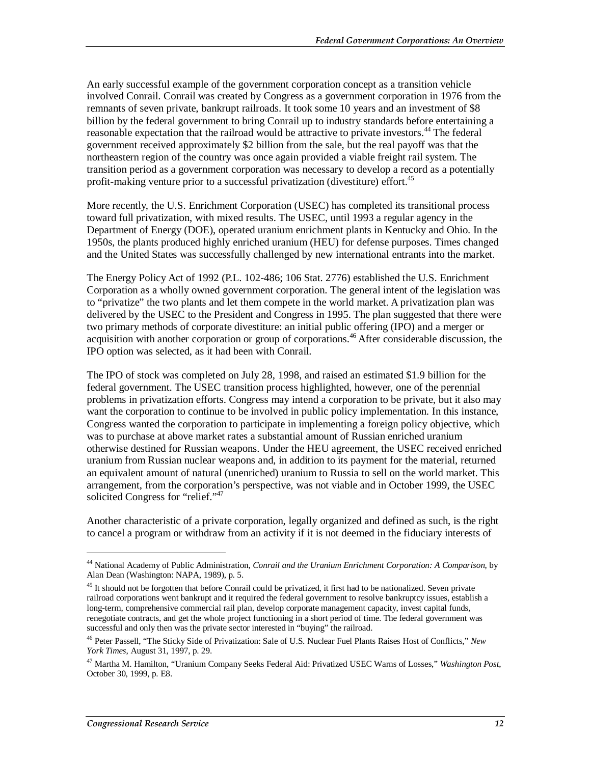An early successful example of the government corporation concept as a transition vehicle involved Conrail. Conrail was created by Congress as a government corporation in 1976 from the remnants of seven private, bankrupt railroads. It took some 10 years and an investment of \$8 billion by the federal government to bring Conrail up to industry standards before entertaining a reasonable expectation that the railroad would be attractive to private investors.<sup>44</sup> The federal government received approximately \$2 billion from the sale, but the real payoff was that the northeastern region of the country was once again provided a viable freight rail system. The transition period as a government corporation was necessary to develop a record as a potentially profit-making venture prior to a successful privatization (divestiture) effort.<sup>45</sup>

More recently, the U.S. Enrichment Corporation (USEC) has completed its transitional process toward full privatization, with mixed results. The USEC, until 1993 a regular agency in the Department of Energy (DOE), operated uranium enrichment plants in Kentucky and Ohio. In the 1950s, the plants produced highly enriched uranium (HEU) for defense purposes. Times changed and the United States was successfully challenged by new international entrants into the market.

The Energy Policy Act of 1992 (P.L. 102-486; 106 Stat. 2776) established the U.S. Enrichment Corporation as a wholly owned government corporation. The general intent of the legislation was to "privatize" the two plants and let them compete in the world market. A privatization plan was delivered by the USEC to the President and Congress in 1995. The plan suggested that there were two primary methods of corporate divestiture: an initial public offering (IPO) and a merger or acquisition with another corporation or group of corporations.46 After considerable discussion, the IPO option was selected, as it had been with Conrail.

The IPO of stock was completed on July 28, 1998, and raised an estimated \$1.9 billion for the federal government. The USEC transition process highlighted, however, one of the perennial problems in privatization efforts. Congress may intend a corporation to be private, but it also may want the corporation to continue to be involved in public policy implementation. In this instance, Congress wanted the corporation to participate in implementing a foreign policy objective, which was to purchase at above market rates a substantial amount of Russian enriched uranium otherwise destined for Russian weapons. Under the HEU agreement, the USEC received enriched uranium from Russian nuclear weapons and, in addition to its payment for the material, returned an equivalent amount of natural (unenriched) uranium to Russia to sell on the world market. This arrangement, from the corporation's perspective, was not viable and in October 1999, the USEC solicited Congress for "relief."<sup>47</sup>

Another characteristic of a private corporation, legally organized and defined as such, is the right to cancel a program or withdraw from an activity if it is not deemed in the fiduciary interests of

<sup>44</sup> National Academy of Public Administration, *Conrail and the Uranium Enrichment Corporation: A Comparison*, by Alan Dean (Washington: NAPA, 1989), p. 5.

 $45$  It should not be forgotten that before Conrail could be privatized, it first had to be nationalized. Seven private railroad corporations went bankrupt and it required the federal government to resolve bankruptcy issues, establish a long-term, comprehensive commercial rail plan, develop corporate management capacity, invest capital funds, renegotiate contracts, and get the whole project functioning in a short period of time. The federal government was successful and only then was the private sector interested in "buying" the railroad.

<sup>46</sup> Peter Passell, "The Sticky Side of Privatization: Sale of U.S. Nuclear Fuel Plants Raises Host of Conflicts," *New York Times*, August 31, 1997, p. 29.

<sup>47</sup> Martha M. Hamilton, "Uranium Company Seeks Federal Aid: Privatized USEC Warns of Losses," *Washington Post*, October 30, 1999, p. E8.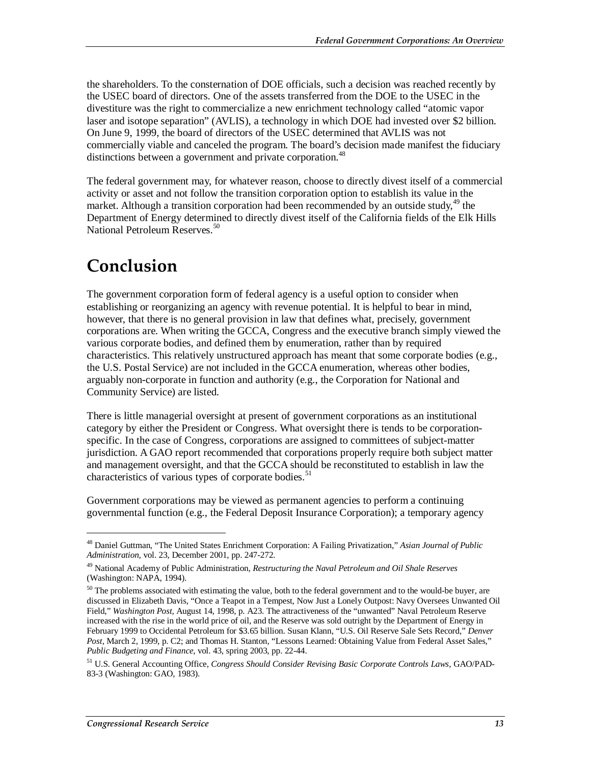the shareholders. To the consternation of DOE officials, such a decision was reached recently by the USEC board of directors. One of the assets transferred from the DOE to the USEC in the divestiture was the right to commercialize a new enrichment technology called "atomic vapor laser and isotope separation" (AVLIS), a technology in which DOE had invested over \$2 billion. On June 9, 1999, the board of directors of the USEC determined that AVLIS was not commercially viable and canceled the program. The board's decision made manifest the fiduciary distinctions between a government and private corporation.<sup>48</sup>

The federal government may, for whatever reason, choose to directly divest itself of a commercial activity or asset and not follow the transition corporation option to establish its value in the market. Although a transition corporation had been recommended by an outside study,  $49$  the Department of Energy determined to directly divest itself of the California fields of the Elk Hills National Petroleum Reserves.<sup>50</sup>

## **Conclusion**

The government corporation form of federal agency is a useful option to consider when establishing or reorganizing an agency with revenue potential. It is helpful to bear in mind, however, that there is no general provision in law that defines what, precisely, government corporations are. When writing the GCCA, Congress and the executive branch simply viewed the various corporate bodies, and defined them by enumeration, rather than by required characteristics. This relatively unstructured approach has meant that some corporate bodies (e.g., the U.S. Postal Service) are not included in the GCCA enumeration, whereas other bodies, arguably non-corporate in function and authority (e.g., the Corporation for National and Community Service) are listed.

There is little managerial oversight at present of government corporations as an institutional category by either the President or Congress. What oversight there is tends to be corporationspecific. In the case of Congress, corporations are assigned to committees of subject-matter jurisdiction. A GAO report recommended that corporations properly require both subject matter and management oversight, and that the GCCA should be reconstituted to establish in law the characteristics of various types of corporate bodies.<sup>51</sup>

Government corporations may be viewed as permanent agencies to perform a continuing governmental function (e.g., the Federal Deposit Insurance Corporation); a temporary agency

<sup>48</sup> Daniel Guttman, "The United States Enrichment Corporation: A Failing Privatization," *Asian Journal of Public Administration,* vol. 23, December 2001, pp. 247-272.

<sup>49</sup> National Academy of Public Administration, *Restructuring the Naval Petroleum and Oil Shale Reserves* (Washington: NAPA, 1994).

<sup>&</sup>lt;sup>50</sup> The problems associated with estimating the value, both to the federal government and to the would-be buyer, are discussed in Elizabeth Davis, "Once a Teapot in a Tempest, Now Just a Lonely Outpost: Navy Oversees Unwanted Oil Field," *Washington Post,* August 14, 1998, p. A23. The attractiveness of the "unwanted" Naval Petroleum Reserve increased with the rise in the world price of oil, and the Reserve was sold outright by the Department of Energy in February 1999 to Occidental Petroleum for \$3.65 billion. Susan Klann, "U.S. Oil Reserve Sale Sets Record," *Denver Post,* March 2, 1999, p. C2; and Thomas H. Stanton, "Lessons Learned: Obtaining Value from Federal Asset Sales," *Public Budgeting and Finance*, vol. 43, spring 2003, pp. 22-44.

<sup>51</sup> U.S. General Accounting Office, *Congress Should Consider Revising Basic Corporate Controls Laws*, GAO/PAD-83-3 (Washington: GAO, 1983).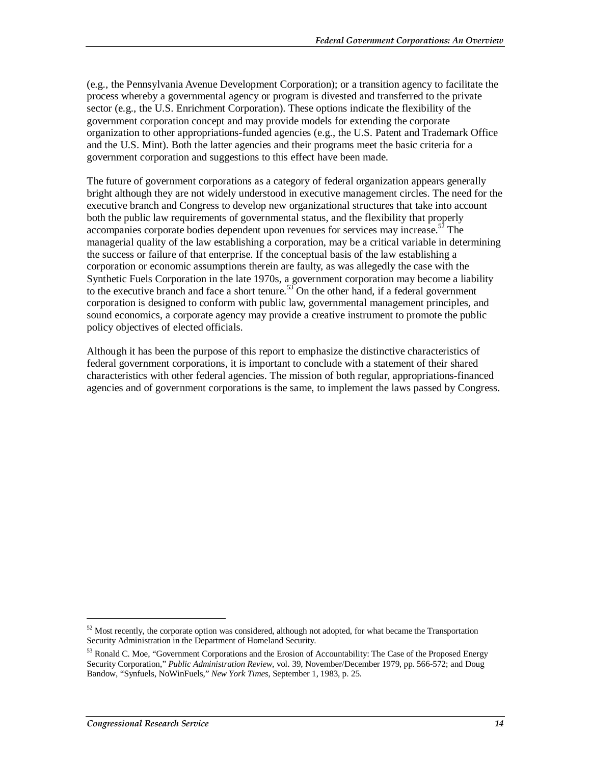(e.g., the Pennsylvania Avenue Development Corporation); or a transition agency to facilitate the process whereby a governmental agency or program is divested and transferred to the private sector (e.g., the U.S. Enrichment Corporation). These options indicate the flexibility of the government corporation concept and may provide models for extending the corporate organization to other appropriations-funded agencies (e.g., the U.S. Patent and Trademark Office and the U.S. Mint). Both the latter agencies and their programs meet the basic criteria for a government corporation and suggestions to this effect have been made.

The future of government corporations as a category of federal organization appears generally bright although they are not widely understood in executive management circles. The need for the executive branch and Congress to develop new organizational structures that take into account both the public law requirements of governmental status, and the flexibility that properly accompanies corporate bodies dependent upon revenues for services may increase.<sup>52</sup> The managerial quality of the law establishing a corporation, may be a critical variable in determining the success or failure of that enterprise. If the conceptual basis of the law establishing a corporation or economic assumptions therein are faulty, as was allegedly the case with the Synthetic Fuels Corporation in the late 1970s, a government corporation may become a liability to the executive branch and face a short tenure.<sup>53</sup> On the other hand, if a federal government corporation is designed to conform with public law, governmental management principles, and sound economics, a corporate agency may provide a creative instrument to promote the public policy objectives of elected officials.

Although it has been the purpose of this report to emphasize the distinctive characteristics of federal government corporations, it is important to conclude with a statement of their shared characteristics with other federal agencies. The mission of both regular, appropriations-financed agencies and of government corporations is the same, to implement the laws passed by Congress.

 $52$  Most recently, the corporate option was considered, although not adopted, for what became the Transportation Security Administration in the Department of Homeland Security.

<sup>53</sup> Ronald C. Moe, "Government Corporations and the Erosion of Accountability: The Case of the Proposed Energy Security Corporation," *Public Administration Review*, vol. 39, November/December 1979, pp. 566-572; and Doug Bandow, "Synfuels, NoWinFuels," *New York Times*, September 1, 1983, p. 25.